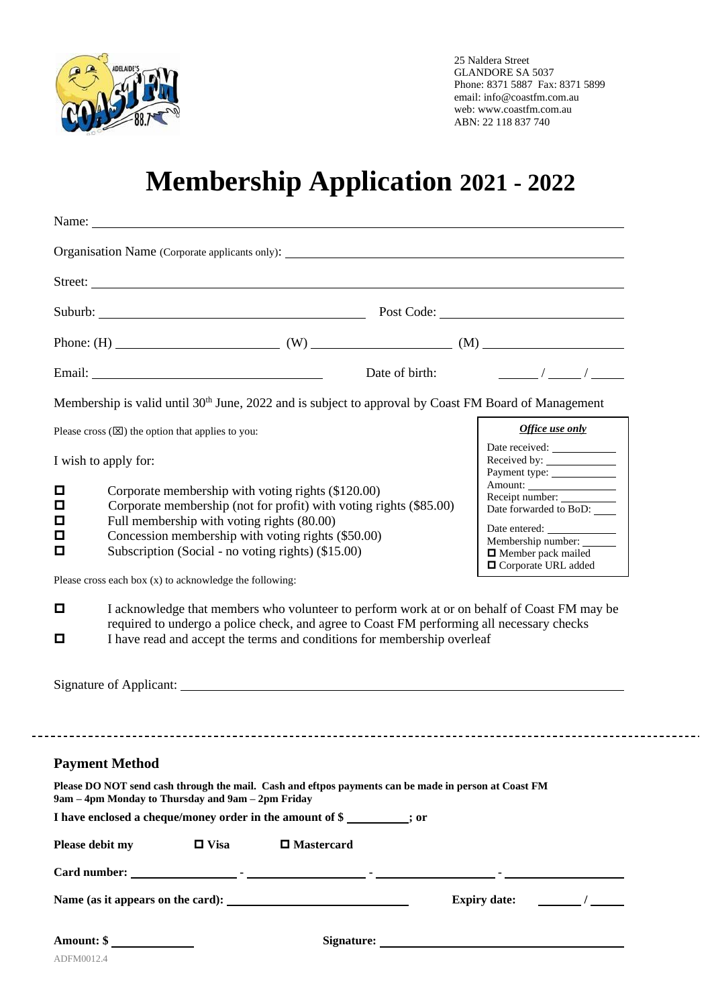

25 Naldera Street GLANDORE SA 5037 Phone: 8371 5887 Fax: 8371 5899 email: info@coastfm.com.au web: www.coastfm.com.au ABN: 22 118 837 740

# **Membership Application 2021 - 2022**

|                                                                                                                                                           |                                            | Suburb: Post Code: Post Code:                                           |                |                                                                                                                  |  |
|-----------------------------------------------------------------------------------------------------------------------------------------------------------|--------------------------------------------|-------------------------------------------------------------------------|----------------|------------------------------------------------------------------------------------------------------------------|--|
|                                                                                                                                                           |                                            | Phone: (H) $(W)$ (W) $(M)$ (M)                                          |                |                                                                                                                  |  |
|                                                                                                                                                           |                                            |                                                                         | Date of birth: | $\sqrt{2}$                                                                                                       |  |
|                                                                                                                                                           |                                            |                                                                         |                | Membership is valid until 30 <sup>th</sup> June, 2022 and is subject to approval by Coast FM Board of Management |  |
| Please cross $(\boxtimes)$ the option that applies to you:                                                                                                |                                            |                                                                         |                | Office use only                                                                                                  |  |
| I wish to apply for:                                                                                                                                      |                                            |                                                                         |                |                                                                                                                  |  |
| Corporate membership with voting rights (\$120.00)<br>о                                                                                                   |                                            |                                                                         |                | Receipt number:                                                                                                  |  |
| о<br>о                                                                                                                                                    | Full membership with voting rights (80.00) | Corporate membership (not for profit) with voting rights (\$85.00)      |                | Date forwarded to BoD:                                                                                           |  |
| Concession membership with voting rights (\$50.00)<br>О<br>Subscription (Social - no voting rights) (\$15.00)<br>О                                        |                                            |                                                                         |                | Membership number:<br><b>I</b> Member pack mailed                                                                |  |
| Please cross each box (x) to acknowledge the following:                                                                                                   |                                            |                                                                         |                | □ Corporate URL added                                                                                            |  |
| ◘                                                                                                                                                         |                                            |                                                                         |                | I acknowledge that members who volunteer to perform work at or on behalf of Coast FM may be                      |  |
|                                                                                                                                                           |                                            |                                                                         |                | required to undergo a police check, and agree to Coast FM performing all necessary checks                        |  |
| о                                                                                                                                                         |                                            | I have read and accept the terms and conditions for membership overleaf |                |                                                                                                                  |  |
|                                                                                                                                                           |                                            |                                                                         |                |                                                                                                                  |  |
|                                                                                                                                                           |                                            |                                                                         |                |                                                                                                                  |  |
|                                                                                                                                                           |                                            |                                                                         |                |                                                                                                                  |  |
| <b>Payment Method</b>                                                                                                                                     |                                            |                                                                         |                |                                                                                                                  |  |
| Please DO NOT send cash through the mail. Cash and eftpos payments can be made in person at Coast FM<br>9am – 4pm Monday to Thursday and 9am – 2pm Friday |                                            |                                                                         |                |                                                                                                                  |  |
| I have enclosed a cheque/money order in the amount of \$                                                                                                  |                                            |                                                                         |                |                                                                                                                  |  |
| Please debit my                                                                                                                                           | $\Box$ Visa                                | $\Box$ Mastercard                                                       |                |                                                                                                                  |  |
|                                                                                                                                                           |                                            |                                                                         |                |                                                                                                                  |  |
|                                                                                                                                                           |                                            |                                                                         |                | Expiry date: $\frac{1}{2}$                                                                                       |  |
| Amount: $\frac{1}{2}$                                                                                                                                     |                                            |                                                                         |                |                                                                                                                  |  |
|                                                                                                                                                           |                                            |                                                                         |                |                                                                                                                  |  |